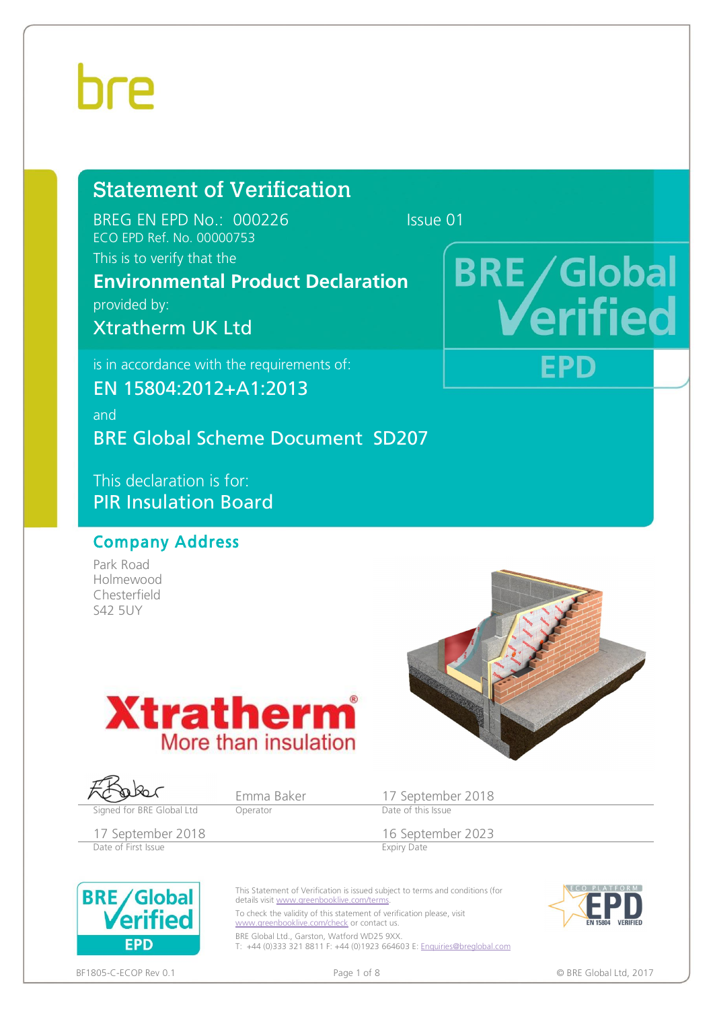provided by:

# Statement of Verification

BREG EN EPD No.: 000226 Issue 01 ECO EPD Ref. No. 00000753 This is to verify that the

Xtratherm UK Ltd

# **BRE/Global** fied

**EPD** 

is in accordance with the requirements of:

EN 15804:2012+A1:2013

and BRE Global Scheme Document SD207

**Environmental Product Declaration** 

This declaration is for: PIR Insulation Board

# Company Address

Park Road Holmewood Chesterfield S42 5UY







Emma Baker 17 September 2018<br>
Operator Date of this Issue

Date of First Issue

17 September 2018<br>
Date of First Issue<br>
Expiry Date



This Statement of Verification is issued subject to terms and conditions (for details visit [www.greenbooklive.com/terms](http://www.greenbooklive.com/terms). To check the validity of this statement of verification please, visit

[www.greenbooklive.com/check](http://www.greenbooklive.com/check) or contact us. BRE Global Ltd., Garston, Watford WD25 9XX. T: +44 (0)333 321 8811 F: +44 (0)1923 664603 E: [Enquiries@breglobal.com](mailto:Enquiries@breglobal.com)



BF1805-C-ECOP Rev 0.1 **Details a set of the contract of 8** C BRE Global Ltd, 2017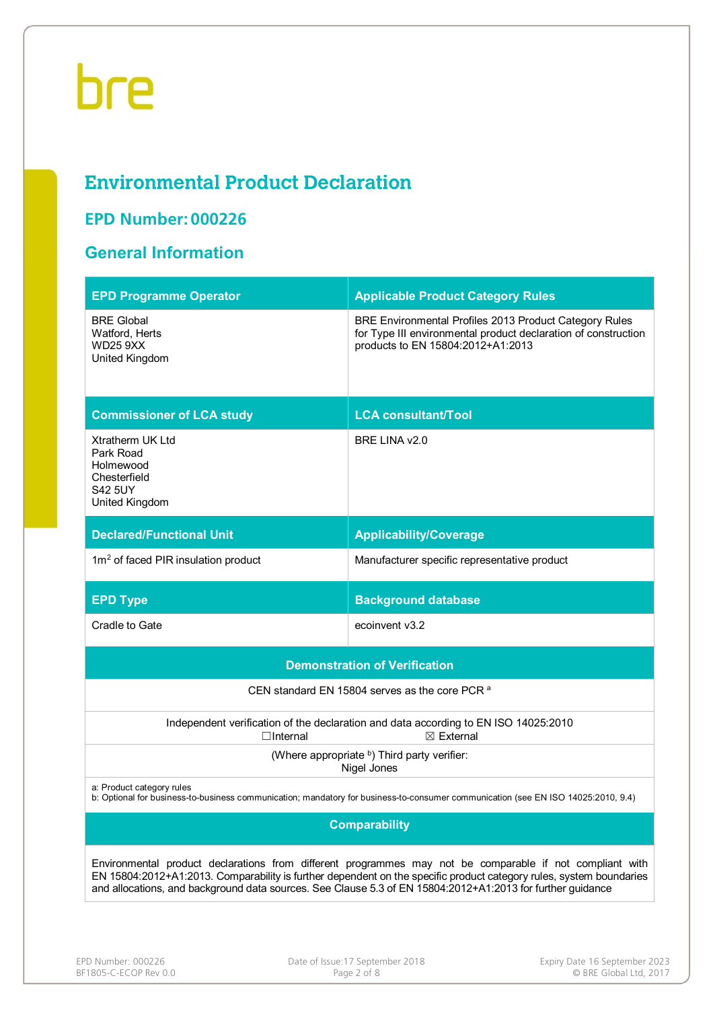# **Environmental Product Declaration**

# **EPD Number: 000226**

# **General Information**

| <b>EPD Programme Operator</b>                                                                  | <b>Applicable Product Category Rules</b>                                                                                                                                                                                                                                                                                                      |  |  |  |  |  |  |
|------------------------------------------------------------------------------------------------|-----------------------------------------------------------------------------------------------------------------------------------------------------------------------------------------------------------------------------------------------------------------------------------------------------------------------------------------------|--|--|--|--|--|--|
| <b>BRE Global</b><br>Watford, Herts<br><b>WD25 9XX</b><br>United Kingdom                       | BRE Environmental Profiles 2013 Product Category Rules<br>for Type III environmental product declaration of construction<br>products to EN 15804:2012+A1:2013                                                                                                                                                                                 |  |  |  |  |  |  |
| <b>Commissioner of LCA study</b>                                                               | <b>LCA consultant/Tool</b>                                                                                                                                                                                                                                                                                                                    |  |  |  |  |  |  |
| Xtratherm UK Ltd<br>Park Road<br>Holmewood<br>Chesterfield<br><b>S42 5UY</b><br>United Kingdom | BRE LINA v2.0                                                                                                                                                                                                                                                                                                                                 |  |  |  |  |  |  |
| <b>Declared/Functional Unit</b>                                                                | <b>Applicability/Coverage</b>                                                                                                                                                                                                                                                                                                                 |  |  |  |  |  |  |
| 1m <sup>2</sup> of faced PIR insulation product                                                | Manufacturer specific representative product                                                                                                                                                                                                                                                                                                  |  |  |  |  |  |  |
| <b>EPD Type</b>                                                                                | <b>Background database</b>                                                                                                                                                                                                                                                                                                                    |  |  |  |  |  |  |
| Cradle to Gate                                                                                 | ecoinvent v3.2                                                                                                                                                                                                                                                                                                                                |  |  |  |  |  |  |
|                                                                                                | <b>Demonstration of Verification</b>                                                                                                                                                                                                                                                                                                          |  |  |  |  |  |  |
|                                                                                                | CEN standard EN 15804 serves as the core PCR <sup>a</sup>                                                                                                                                                                                                                                                                                     |  |  |  |  |  |  |
| $\Box$ Internal                                                                                | Independent verification of the declaration and data according to EN ISO 14025:2010<br>$\boxtimes$ External                                                                                                                                                                                                                                   |  |  |  |  |  |  |
|                                                                                                | (Where appropriate b) Third party verifier:<br>Nigel Jones                                                                                                                                                                                                                                                                                    |  |  |  |  |  |  |
| a: Product category rules                                                                      | b: Optional for business-to-business communication; mandatory for business-to-consumer communication (see EN ISO 14025:2010, 9.4)                                                                                                                                                                                                             |  |  |  |  |  |  |
| <b>Comparability</b>                                                                           |                                                                                                                                                                                                                                                                                                                                               |  |  |  |  |  |  |
|                                                                                                | Environmental product declarations from different programmes may not be comparable if not compliant with<br>EN 15804:2012+A1:2013. Comparability is further dependent on the specific product category rules, system boundaries<br>and allocations, and background data sources. See Clause 5.3 of EN 15804:2012+A1:2013 for further guidance |  |  |  |  |  |  |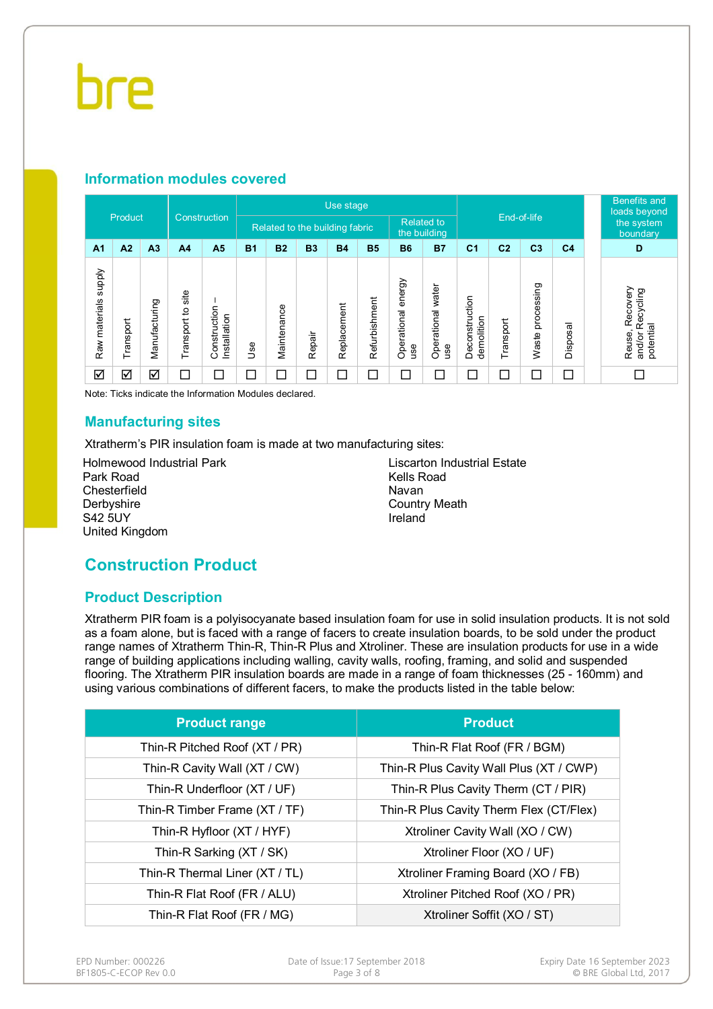### **Information modules covered**

| Construction               |                         |                |                      | Use stage                    |           |             |           |                                |               |                                   |                          |                              | <b>Benefits and</b><br>loads beyond |                     |                |  |                                                        |
|----------------------------|-------------------------|----------------|----------------------|------------------------------|-----------|-------------|-----------|--------------------------------|---------------|-----------------------------------|--------------------------|------------------------------|-------------------------------------|---------------------|----------------|--|--------------------------------------------------------|
|                            | Product                 |                |                      |                              |           |             |           | Related to the building fabric |               | <b>Related to</b><br>the building |                          | End-of-life                  |                                     |                     |                |  | the system<br>boundary                                 |
| A <sub>1</sub>             | A2                      | A <sub>3</sub> | A <sub>4</sub>       | A <sub>5</sub>               | <b>B1</b> | <b>B2</b>   | <b>B3</b> | <b>B4</b>                      | <b>B5</b>     | <b>B6</b>                         | <b>B7</b>                | C <sub>1</sub>               | C <sub>2</sub>                      | C <sub>3</sub>      | C <sub>4</sub> |  | D                                                      |
| supply<br>materials<br>Raw | Transport               | Manufacturing  | site<br>Transport to | Construction<br>Installation | 9se       | Maintenance | Repair    | Replacement                    | Refurbishment | energy<br>Operational<br>use      | Operational water<br>use | Deconstruction<br>demolition | Transport                           | processing<br>Waste | Disposal       |  | Recovery<br>Recycling<br>potential<br>Reuse,<br>and/or |
| ☑                          | $\overline{\mathsf{S}}$ | ☑              | Γ                    | $\Box$                       | □         | $\Box$      | $\Box$    | $\Box$                         | $\Box$        | $\Box$                            | $\Box$                   | Г                            | Г                                   | ⊏                   | П              |  | П                                                      |

Note: Ticks indicate the Information Modules declared.

### **Manufacturing sites**

Xtratherm's PIR insulation foam is made at two manufacturing sites:

Holmewood Industrial Park Park Road **Chesterfield Derbyshire** S42 5UY United Kingdom

Liscarton Industrial Estate Kells Road Navan Country Meath Ireland

# **Construction Product**

# **Product Description**

Xtratherm PIR foam is a polyisocyanate based insulation foam for use in solid insulation products. It is not sold as a foam alone, but is faced with a range of facers to create insulation boards, to be sold under the product range names of Xtratherm Thin-R, Thin-R Plus and Xtroliner. These are insulation products for use in a wide range of building applications including walling, cavity walls, roofing, framing, and solid and suspended flooring. The Xtratherm PIR insulation boards are made in a range of foam thicknesses (25 - 160mm) and using various combinations of different facers, to make the products listed in the table below:

| <b>Product range</b>           | <b>Product</b>                          |
|--------------------------------|-----------------------------------------|
| Thin-R Pitched Roof (XT / PR)  | Thin-R Flat Roof (FR / BGM)             |
| Thin-R Cavity Wall (XT / CW)   | Thin-R Plus Cavity Wall Plus (XT / CWP) |
| Thin-R Underfloor (XT / UF)    | Thin-R Plus Cavity Therm (CT / PIR)     |
| Thin-R Timber Frame (XT / TF)  | Thin-R Plus Cavity Therm Flex (CT/Flex) |
| Thin-R Hyfloor (XT / HYF)      | Xtroliner Cavity Wall (XO / CW)         |
| Thin-R Sarking (XT / SK)       | Xtroliner Floor (XO / UF)               |
| Thin-R Thermal Liner (XT / TL) | Xtroliner Framing Board (XO / FB)       |
| Thin-R Flat Roof (FR / ALU)    | Xtroliner Pitched Roof (XO / PR)        |
| Thin-R Flat Roof (FR / MG)     | Xtroliner Soffit (XO / ST)              |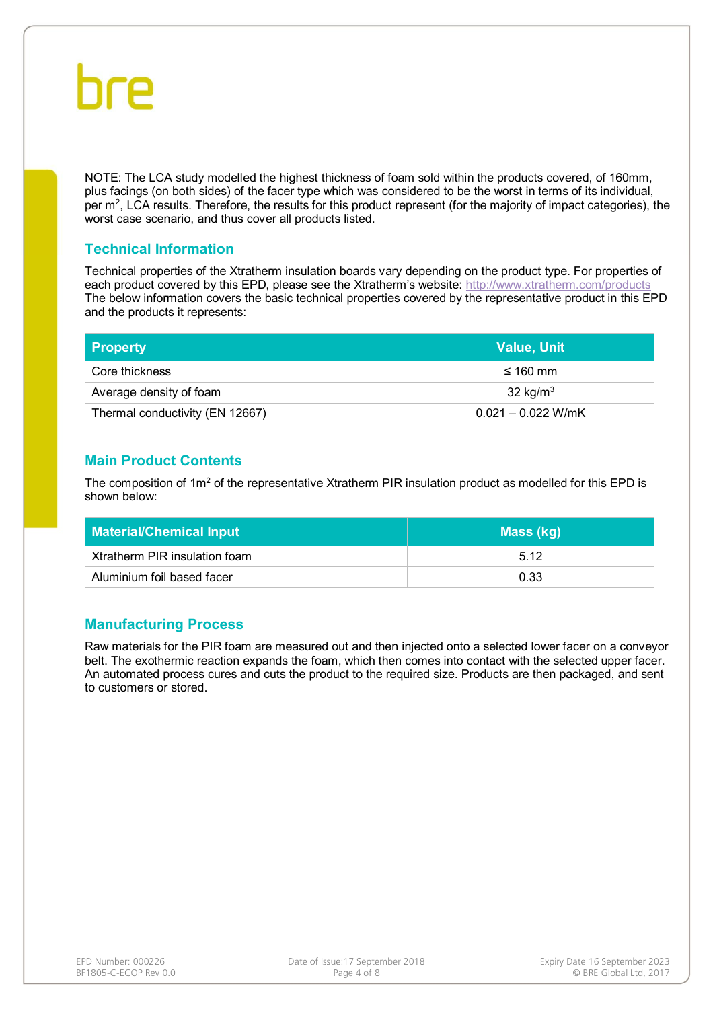NOTE: The LCA study modelled the highest thickness of foam sold within the products covered, of 160mm, plus facings (on both sides) of the facer type which was considered to be the worst in terms of its individual, per m<sup>2</sup>, LCA results. Therefore, the results for this product represent (for the majority of impact categories), the worst case scenario, and thus cover all products listed.

### **Technical Information**

Technical properties of the Xtratherm insulation boards vary depending on the product type. For properties of each product covered by this EPD, please see the Xtratherm's website: <http://www.xtratherm.com/products> The below information covers the basic technical properties covered by the representative product in this EPD and the products it represents:

| <b>Property</b>                 | <b>Value, Unit</b>   |
|---------------------------------|----------------------|
| Core thickness                  | $\leq 160$ mm        |
| Average density of foam         | 32 kg/ $m3$          |
| Thermal conductivity (EN 12667) | $0.021 - 0.022$ W/mK |

# **Main Product Contents**

The composition of  $1m^2$  of the representative Xtratherm PIR insulation product as modelled for this EPD is shown below:

| <b>Material/Chemical Input</b> | Mass (kg) |
|--------------------------------|-----------|
| Xtratherm PIR insulation foam  | 5.12      |
| Aluminium foil based facer     | 0.33      |

# **Manufacturing Process**

Raw materials for the PIR foam are measured out and then injected onto a selected lower facer on a conveyor belt. The exothermic reaction expands the foam, which then comes into contact with the selected upper facer. An automated process cures and cuts the product to the required size. Products are then packaged, and sent to customers or stored.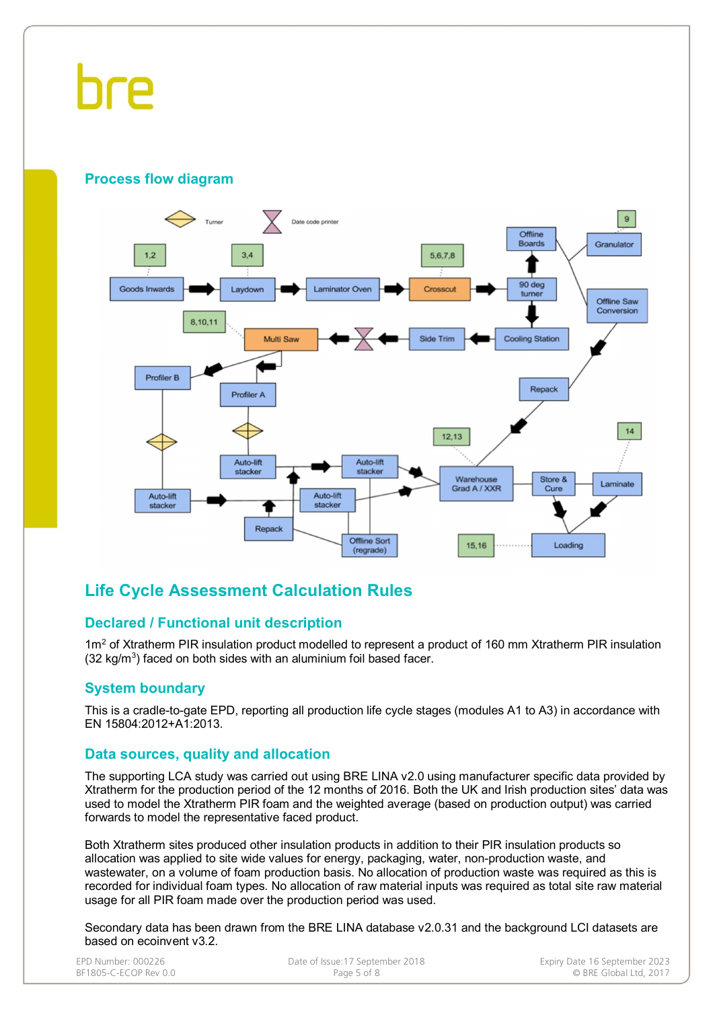# hre

# **Process flow diagram**



# **Life Cycle Assessment Calculation Rules**

# **Declared / Functional unit description**

1m<sup>2</sup> of Xtratherm PIR insulation product modelled to represent a product of 160 mm Xtratherm PIR insulation  $(32 \text{ kg/m}^3)$  faced on both sides with an aluminium foil based facer.

# **System boundary**

This is a cradle-to-gate EPD, reporting all production life cycle stages (modules A1 to A3) in accordance with EN 15804:2012+A1:2013.

### **Data sources, quality and allocation**

The supporting LCA study was carried out using BRE LINA v2.0 using manufacturer specific data provided by Xtratherm for the production period of the 12 months of 2016. Both the UK and Irish production sites' data was used to model the Xtratherm PIR foam and the weighted average (based on production output) was carried forwards to model the representative faced product.

Both Xtratherm sites produced other insulation products in addition to their PIR insulation products so allocation was applied to site wide values for energy, packaging, water, non-production waste, and wastewater, on a volume of foam production basis. No allocation of production waste was required as this is recorded for individual foam types. No allocation of raw material inputs was required as total site raw material usage for all PIR foam made over the production period was used.

Secondary data has been drawn from the BRE LINA database v2.0.31 and the background LCI datasets are based on ecoinvent v3.2.

| EPD Number: 000226    | Date of Issue:17 September 2018 | Expiry Date 16 September 2023 |
|-----------------------|---------------------------------|-------------------------------|
| BF1805-C-ECOP Rev 0.0 | Page 5 of 8                     | © BRE Global Ltd. 2017        |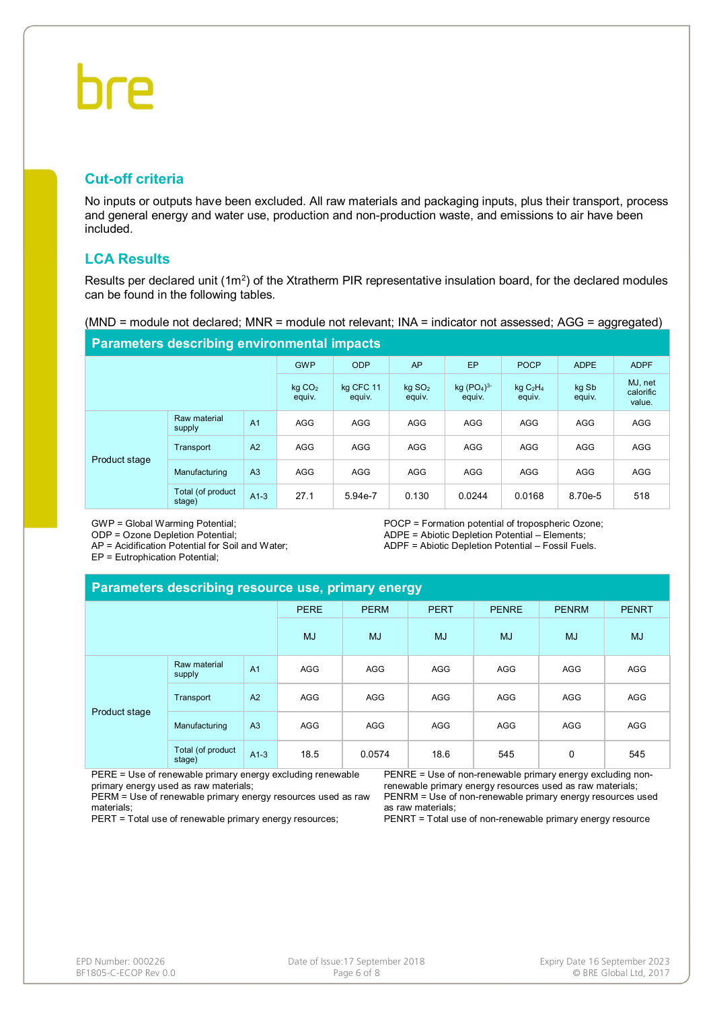# **Cut-off criteria**

No inputs or outputs have been excluded. All raw materials and packaging inputs, plus their transport, process and general energy and water use, production and non-production waste, and emissions to air have been included.

# **LCA Results**

Results per declared unit  $(1m^2)$  of the Xtratherm PIR representative insulation board, for the declared modules can be found in the following tables.

(MND = module not declared; MNR = module not relevant; INA = indicator not assessed; AGG = aggregated)

#### **Parameters describing environmental impacts**

|               | . .                          |                     |                              |                        |                                           |                 |                                |            |     |
|---------------|------------------------------|---------------------|------------------------------|------------------------|-------------------------------------------|-----------------|--------------------------------|------------|-----|
|               | <b>GWP</b>                   | <b>ODP</b>          | AP                           | EP                     | <b>POCP</b>                               | <b>ADPE</b>     | <b>ADPF</b>                    |            |     |
|               | kg CO <sub>2</sub><br>equiv. | kg CFC 11<br>equiv. | kg SO <sub>2</sub><br>equiv. | $kg (PO4)3-$<br>equiv. | kgC <sub>2</sub> H <sub>4</sub><br>equiv. | kg Sb<br>equiv. | MJ, net<br>calorific<br>value. |            |     |
| Product stage | Raw material<br>supply       | A <sub>1</sub>      | <b>AGG</b>                   | AGG                    | <b>AGG</b>                                | <b>AGG</b>      | <b>AGG</b>                     | <b>AGG</b> | AGG |
|               | Transport                    | A <sub>2</sub>      | <b>AGG</b>                   | AGG                    | <b>AGG</b>                                | AGG             | <b>AGG</b>                     | <b>AGG</b> | AGG |
|               | Manufacturing                | A <sub>3</sub>      | <b>AGG</b>                   | <b>AGG</b>             | <b>AGG</b>                                | <b>AGG</b>      | <b>AGG</b>                     | <b>AGG</b> | AGG |
|               | Total (of product<br>stage)  | $A1-3$              | 27.1                         | 5.94e-7                | 0.130                                     | 0.0244          | 0.0168                         | 8.70e-5    | 518 |

GWP = Global Warming Potential;

ODP = Ozone Depletion Potential;

AP = Acidification Potential for Soil and Water;

EP = Eutrophication Potential;

#### POCP = Formation potential of tropospheric Ozone; ADPE = Abiotic Depletion Potential – Elements; ADPF = Abiotic Depletion Potential – Fossil Fuels.

#### **Parameters describing resource use, primary energy**

|               |                             |                | <b>PERE</b> | <b>PERM</b> | <b>PERT</b> | <b>PENRE</b> | <b>PENRM</b> | <b>PENRT</b> |
|---------------|-----------------------------|----------------|-------------|-------------|-------------|--------------|--------------|--------------|
|               |                             |                | <b>MJ</b>   | <b>MJ</b>   | <b>MJ</b>   | <b>MJ</b>    | <b>MJ</b>    | <b>MJ</b>    |
|               | Raw material<br>supply      | A <sub>1</sub> | AGG         | AGG         | AGG         | <b>AGG</b>   | <b>AGG</b>   | <b>AGG</b>   |
|               | Transport                   | A2             | AGG         | AGG         | AGG         | <b>AGG</b>   | <b>AGG</b>   | <b>AGG</b>   |
| Product stage | Manufacturing               | A <sub>3</sub> | AGG         | AGG         | AGG         | <b>AGG</b>   | <b>AGG</b>   | <b>AGG</b>   |
|               | Total (of product<br>stage) | $A1-3$         | 18.5        | 0.0574      | 18.6        | 545          | 0            | 545          |

PERE = Use of renewable primary energy excluding renewable primary energy used as raw materials;

PERM = Use of renewable primary energy resources used as raw materials;

PERT = Total use of renewable primary energy resources;

PENRE = Use of non-renewable primary energy excluding nonrenewable primary energy resources used as raw materials; PENRM = Use of non-renewable primary energy resources used as raw materials;

PENRT = Total use of non-renewable primary energy resource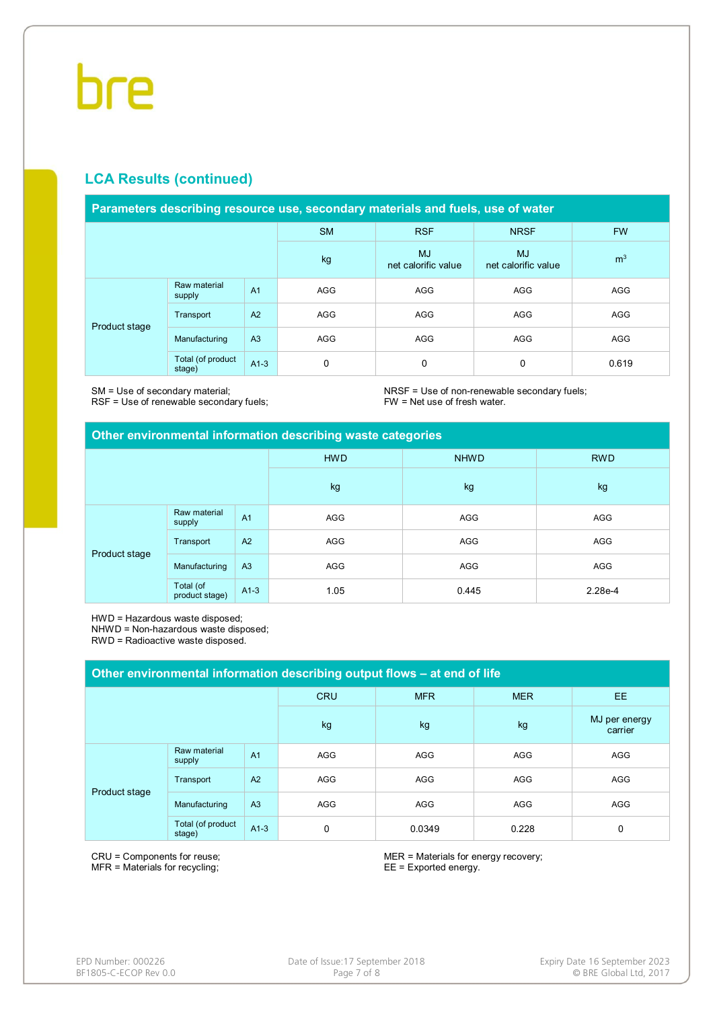# **LCA Results (continued)**

#### **Parameters describing resource use, secondary materials and fuels, use of water**

|               |                             |                | <b>SM</b>  | <b>RSF</b>                       | <b>NRSF</b>                      | <b>FW</b>      |
|---------------|-----------------------------|----------------|------------|----------------------------------|----------------------------------|----------------|
|               |                             |                | kg         | <b>MJ</b><br>net calorific value | <b>MJ</b><br>net calorific value | m <sup>3</sup> |
|               | Raw material<br>supply      | A <sub>1</sub> | <b>AGG</b> | AGG                              | AGG                              | AGG            |
|               | Transport                   | A2             | AGG        | AGG                              | AGG                              | AGG            |
| Product stage | Manufacturing               | A3             | <b>AGG</b> | AGG                              | AGG                              | <b>AGG</b>     |
|               | Total (of product<br>stage) | $A1-3$         | 0          | 0                                | 0                                | 0.619          |

SM = Use of secondary material;

RSF = Use of renewable secondary fuels;

NRSF = Use of non-renewable secondary fuels; FW = Net use of fresh water.

#### **Other environmental information describing waste categories**

|               |                             |                | <b>HWD</b><br><b>NHWD</b> |       | <b>RWD</b> |
|---------------|-----------------------------|----------------|---------------------------|-------|------------|
|               |                             |                | kg                        | kg    | kg         |
|               | Raw material<br>supply      | A <sub>1</sub> | AGG                       | AGG   | AGG        |
|               | Transport                   | A2             | AGG                       | AGG   | AGG        |
| Product stage | Manufacturing               | A3             | AGG                       | AGG   | AGG        |
|               | Total (of<br>product stage) | $A1-3$         | 1.05                      | 0.445 | 2.28e-4    |

HWD = Hazardous waste disposed;

NHWD = Non-hazardous waste disposed;

RWD = Radioactive waste disposed.

| Other environmental information describing output flows - at end of life |                             |                |            |            |            |                          |  |  |  |
|--------------------------------------------------------------------------|-----------------------------|----------------|------------|------------|------------|--------------------------|--|--|--|
|                                                                          |                             |                | <b>CRU</b> | <b>MFR</b> | <b>MER</b> | EE.                      |  |  |  |
|                                                                          |                             |                | kg         | kg         | kg         | MJ per energy<br>carrier |  |  |  |
| Product stage                                                            | Raw material<br>supply      | A <sub>1</sub> | <b>AGG</b> | <b>AGG</b> | <b>AGG</b> | <b>AGG</b>               |  |  |  |
|                                                                          | Transport                   | A2             | <b>AGG</b> | <b>AGG</b> | <b>AGG</b> | AGG                      |  |  |  |
|                                                                          | Manufacturing               | A <sub>3</sub> | <b>AGG</b> | <b>AGG</b> | <b>AGG</b> | <b>AGG</b>               |  |  |  |
|                                                                          | Total (of product<br>stage) | $A1-3$         | 0          | 0.0349     | 0.228      | 0                        |  |  |  |

CRU = Components for reuse; MFR = Materials for recycling;

MER = Materials for energy recovery; EE = Exported energy.